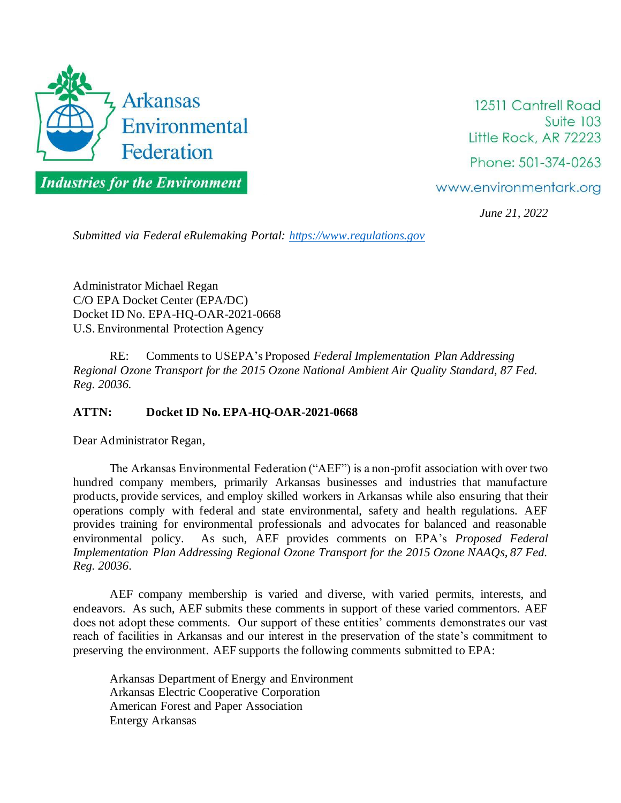

12511 Cantrell Road Suite 103 Little Rock, AR 72223 Phone: 501-374-0263

www.environmentark.org

*June 21, 2022*

*Submitted via Federal eRulemaking Portal: https://www.regulations.gov*

Administrator Michael Regan C/O EPA Docket Center (EPA/DC) Docket ID No. EPA-HQ-OAR-2021-0668 U.S. Environmental Protection Agency

RE: Comments to USEPA's Proposed *Federal Implementation Plan Addressing Regional Ozone Transport for the 2015 Ozone National Ambient Air Quality Standard, 87 Fed. Reg. 20036.*

## **ATTN: Docket ID No. EPA-HQ-OAR-2021-0668**

Dear Administrator Regan,

The Arkansas Environmental Federation ("AEF") is a non-profit association with over two hundred company members, primarily Arkansas businesses and industries that manufacture products, provide services, and employ skilled workers in Arkansas while also ensuring that their operations comply with federal and state environmental, safety and health regulations. AEF provides training for environmental professionals and advocates for balanced and reasonable environmental policy. As such, AEF provides comments on EPA's *Proposed Federal Implementation Plan Addressing Regional Ozone Transport for the 2015 Ozone NAAQs, 87 Fed. Reg. 20036*.

AEF company membership is varied and diverse, with varied permits, interests, and endeavors. As such, AEF submits these comments in support of these varied commentors. AEF does not adopt these comments. Our support of these entities' comments demonstrates our vast reach of facilities in Arkansas and our interest in the preservation of the state's commitment to preserving the environment. AEF supports the following comments submitted to EPA:

Arkansas Department of Energy and Environment Arkansas Electric Cooperative Corporation American Forest and Paper Association Entergy Arkansas